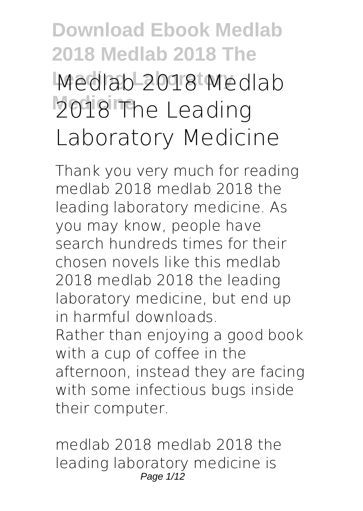# **Download Ebook Medlab 2018 Medlab 2018 The Leading Laboratory Medlab 2018 Medlab Medicine 2018 The Leading Laboratory Medicine**

Thank you very much for reading **medlab 2018 medlab 2018 the leading laboratory medicine**. As you may know, people have search hundreds times for their chosen novels like this medlab 2018 medlab 2018 the leading laboratory medicine, but end up in harmful downloads. Rather than enjoying a good book with a cup of coffee in the afternoon, instead they are facing with some infectious bugs inside their computer.

medlab 2018 medlab 2018 the leading laboratory medicine is Page 1/12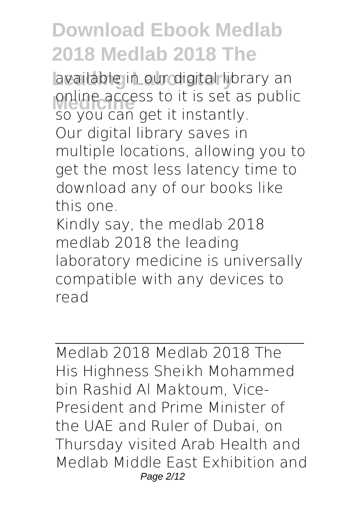**Leading Laboratory** available in our digital library an **Medicine access to it is set as public**<br> **Contract and act it instantly** so you can get it instantly. Our digital library saves in multiple locations, allowing you to get the most less latency time to download any of our books like this one.

Kindly say, the medlab 2018 medlab 2018 the leading laboratory medicine is universally compatible with any devices to read

*Medlab 2018 Medlab 2018 The* His Highness Sheikh Mohammed bin Rashid Al Maktoum, Vice-President and Prime Minister of the UAE and Ruler of Dubai, on Thursday visited Arab Health and Medlab Middle East Exhibition and Page 2/12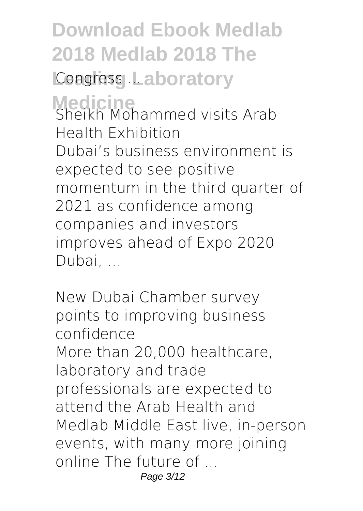**Download Ebook Medlab 2018 Medlab 2018 The Congress Laboratory Medicine** *Sheikh Mohammed visits Arab Health Exhibition* Dubai's business environment is expected to see positive momentum in the third quarter of 2021 as confidence among companies and investors improves ahead of Expo 2020 Dubai, ...

*New Dubai Chamber survey points to improving business confidence* More than 20,000 healthcare, laboratory and trade professionals are expected to attend the Arab Health and Medlab Middle East live, in-person events, with many more joining online The future of ... Page 3/12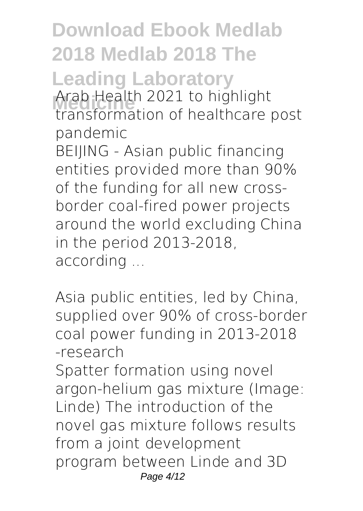**Download Ebook Medlab 2018 Medlab 2018 The Leading Laboratory Medicine** *Arab Health 2021 to highlight transformation of healthcare post pandemic* BEIJING - Asian public financing entities provided more than 90%

of the funding for all new crossborder coal-fired power projects around the world excluding China in the period 2013-2018, according ...

*Asia public entities, led by China, supplied over 90% of cross-border coal power funding in 2013-2018 -research*

Spatter formation using novel argon-helium gas mixture (Image: Linde) The introduction of the novel gas mixture follows results from a joint development program between Linde and 3D Page 4/12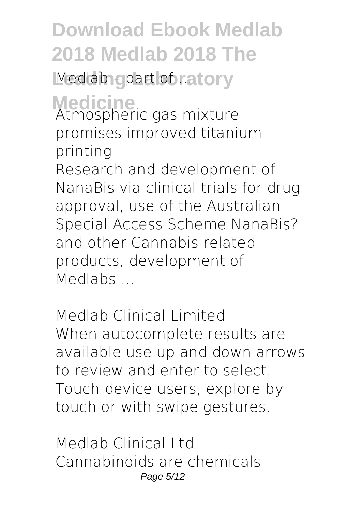**Medlab – part of ratory** 

**Medicine** *Atmospheric gas mixture promises improved titanium printing*

Research and development of NanaBis via clinical trials for drug approval, use of the Australian Special Access Scheme NanaBis? and other Cannabis related products, development of Medlabs ...

*Medlab Clinical Limited* When autocomplete results are available use up and down arrows to review and enter to select. Touch device users, explore by touch or with swipe gestures.

*Medlab Clinical Ltd* Cannabinoids are chemicals Page 5/12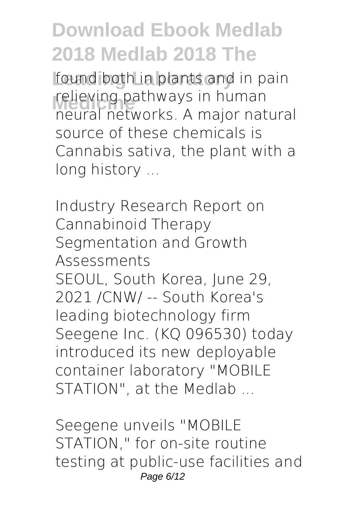found both in plants and in pain **relieving pathways in human**<br>regular patworks A major pat neural networks. A major natural source of these chemicals is Cannabis sativa, the plant with a long history ...

*Industry Research Report on Cannabinoid Therapy Segmentation and Growth Assessments* SEOUL, South Korea, June 29, 2021 /CNW/ -- South Korea's leading biotechnology firm Seegene Inc. (KQ 096530) today introduced its new deployable container laboratory "MOBILE STATION", at the Medlab ...

*Seegene unveils "MOBILE STATION," for on-site routine testing at public-use facilities and* Page 6/12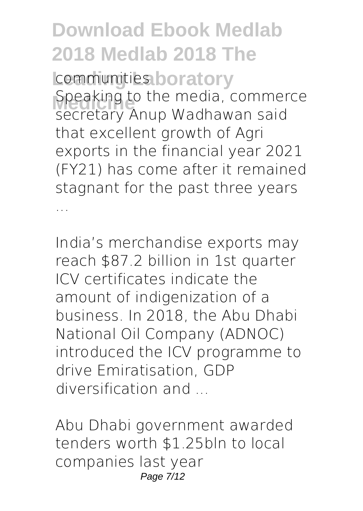**Leading Laboratory** *communities* **Speaking to the media, commerce** secretary Anup Wadhawan said that excellent growth of Agri exports in the financial year 2021 (FY21) has come after it remained stagnant for the past three years ...

*India's merchandise exports may reach \$87.2 billion in 1st quarter* ICV certificates indicate the amount of indigenization of a business. In 2018, the Abu Dhabi National Oil Company (ADNOC) introduced the ICV programme to drive Emiratisation, GDP diversification and ...

*Abu Dhabi government awarded tenders worth \$1.25bln to local companies last year* Page 7/12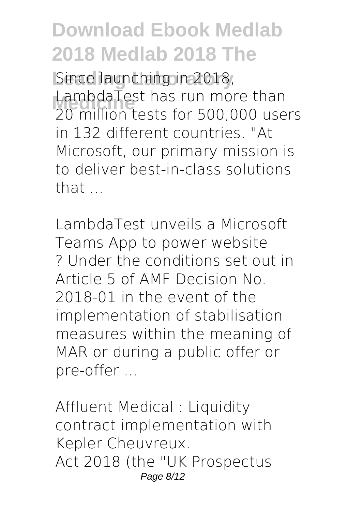Since launching in 2018, **Medicine** 20 million tests for 500,000 users LambdaTest has run more than in 132 different countries. "At Microsoft, our primary mission is to deliver best-in-class solutions that  $\overline{a}$ 

*LambdaTest unveils a Microsoft Teams App to power website* ? Under the conditions set out in Article 5 of AMF Decision No. 2018-01 in the event of the implementation of stabilisation measures within the meaning of MAR or during a public offer or pre-offer ...

*Affluent Medical : Liquidity contract implementation with Kepler Cheuvreux.* Act 2018 (the "UK Prospectus Page 8/12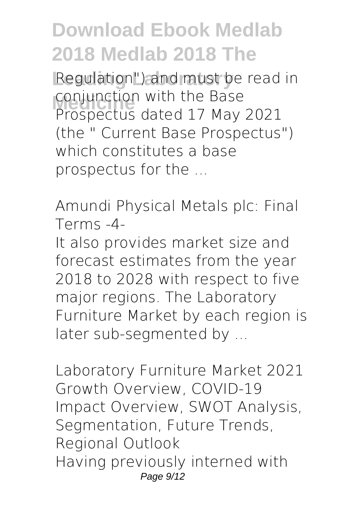Regulation") and must be read in conjunction with the Base<br>Prespectus dated 17 May Prospectus dated 17 May 2021 (the " Current Base Prospectus") which constitutes a base prospectus for the ...

*Amundi Physical Metals plc: Final Terms -4-*

It also provides market size and forecast estimates from the year 2018 to 2028 with respect to five major regions. The Laboratory Furniture Market by each region is later sub-segmented by ...

*Laboratory Furniture Market 2021 Growth Overview, COVID-19 Impact Overview, SWOT Analysis, Segmentation, Future Trends, Regional Outlook* Having previously interned with Page  $9/12$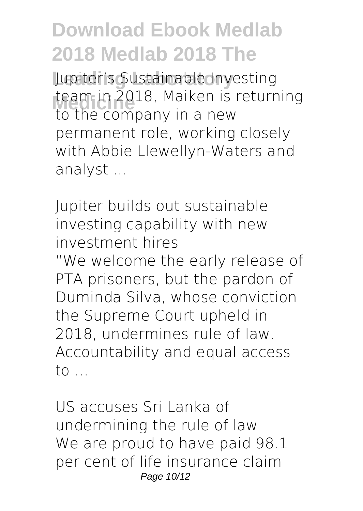**Leading Laboratory** Jupiter's Sustainable Investing team in 2018, Malken is<br>to the company in a new team in 2018, Maiken is returning permanent role, working closely with Abbie Llewellyn-Waters and analyst ...

*Jupiter builds out sustainable investing capability with new investment hires* "We welcome the early release of PTA prisoners, but the pardon of Duminda Silva, whose conviction the Supreme Court upheld in 2018, undermines rule of law. Accountability and equal access to ...

*US accuses Sri Lanka of undermining the rule of law* We are proud to have paid 98.1 per cent of life insurance claim Page 10/12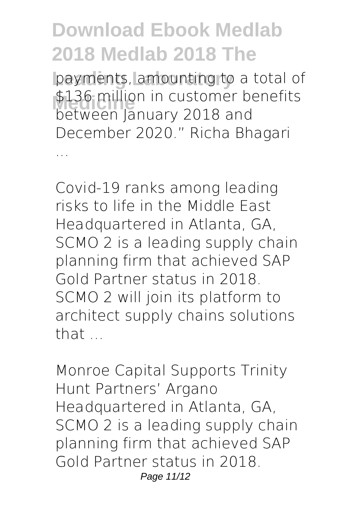payments, amounting to a total of \$136 million in customer benefits<br>hotwoon lanuary 2018 and between January 2018 and December 2020." Richa Bhagari

...

*Covid-19 ranks among leading risks to life in the Middle East* Headquartered in Atlanta, GA, SCMO 2 is a leading supply chain planning firm that achieved SAP Gold Partner status in 2018. SCMO 2 will join its platform to architect supply chains solutions that ...

*Monroe Capital Supports Trinity Hunt Partners' Argano* Headquartered in Atlanta, GA, SCMO 2 is a leading supply chain planning firm that achieved SAP Gold Partner status in 2018. Page 11/12